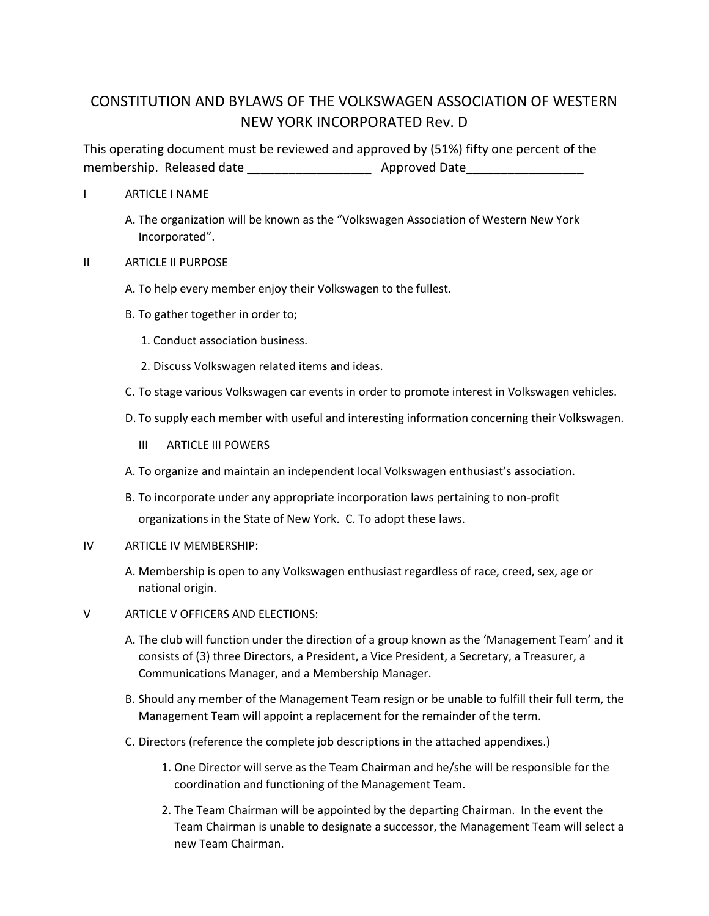# CONSTITUTION AND BYLAWS OF THE VOLKSWAGEN ASSOCIATION OF WESTERN NEW YORK INCORPORATED Rev. D

This operating document must be reviewed and approved by (51%) fifty one percent of the membership. Released date \_\_\_\_\_\_\_\_\_\_\_\_\_\_\_\_\_\_ Approved Date\_\_\_\_\_\_\_\_\_\_\_\_\_\_\_\_\_

### I ARTICLE I NAME

A. The organization will be known as the "Volkswagen Association of Western New York Incorporated".

### II ARTICLE II PURPOSE

- A. To help every member enjoy their Volkswagen to the fullest.
- B. To gather together in order to;
	- 1. Conduct association business.
	- 2. Discuss Volkswagen related items and ideas.
- C. To stage various Volkswagen car events in order to promote interest in Volkswagen vehicles.
- D. To supply each member with useful and interesting information concerning their Volkswagen.
	- III ARTICLE III POWERS
- A. To organize and maintain an independent local Volkswagen enthusiast's association.
- B. To incorporate under any appropriate incorporation laws pertaining to non-profit organizations in the State of New York. C. To adopt these laws.

### IV ARTICLE IV MEMBERSHIP:

- A. Membership is open to any Volkswagen enthusiast regardless of race, creed, sex, age or national origin.
- V ARTICLE V OFFICERS AND ELECTIONS:
	- A. The club will function under the direction of a group known as the 'Management Team' and it consists of (3) three Directors, a President, a Vice President, a Secretary, a Treasurer, a Communications Manager, and a Membership Manager.
	- B. Should any member of the Management Team resign or be unable to fulfill their full term, the Management Team will appoint a replacement for the remainder of the term.
	- C. Directors (reference the complete job descriptions in the attached appendixes.)
		- 1. One Director will serve as the Team Chairman and he/she will be responsible for the coordination and functioning of the Management Team.
		- 2. The Team Chairman will be appointed by the departing Chairman. In the event the Team Chairman is unable to designate a successor, the Management Team will select a new Team Chairman.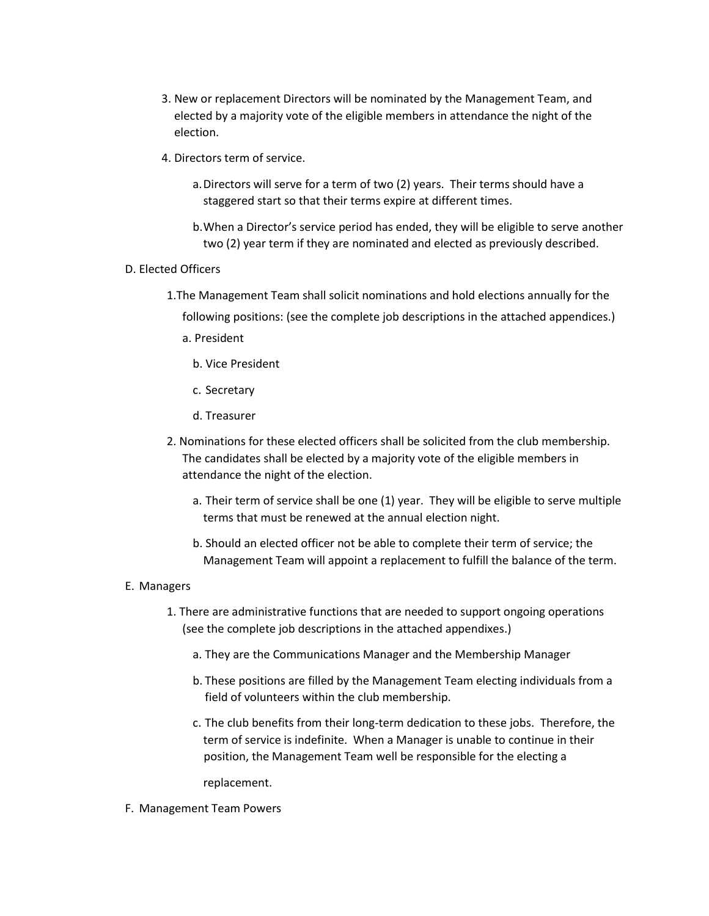- 3. New or replacement Directors will be nominated by the Management Team, and elected by a majority vote of the eligible members in attendance the night of the election.
- 4. Directors term of service.
	- a.Directors will serve for a term of two (2) years. Their terms should have a staggered start so that their terms expire at different times.
	- b.When a Director's service period has ended, they will be eligible to serve another two (2) year term if they are nominated and elected as previously described.

### D. Elected Officers

- 1.The Management Team shall solicit nominations and hold elections annually for the
	- following positions: (see the complete job descriptions in the attached appendices.)
	- a. President
		- b. Vice President
		- c. Secretary
		- d. Treasurer
- 2. Nominations for these elected officers shall be solicited from the club membership. The candidates shall be elected by a majority vote of the eligible members in attendance the night of the election.
	- a. Their term of service shall be one (1) year. They will be eligible to serve multiple terms that must be renewed at the annual election night.
	- b. Should an elected officer not be able to complete their term of service; the Management Team will appoint a replacement to fulfill the balance of the term.

### E. Managers

- 1. There are administrative functions that are needed to support ongoing operations (see the complete job descriptions in the attached appendixes.)
	- a. They are the Communications Manager and the Membership Manager
	- b. These positions are filled by the Management Team electing individuals from a field of volunteers within the club membership.
	- c. The club benefits from their long-term dedication to these jobs. Therefore, the term of service is indefinite. When a Manager is unable to continue in their position, the Management Team well be responsible for the electing a

replacement.

F. Management Team Powers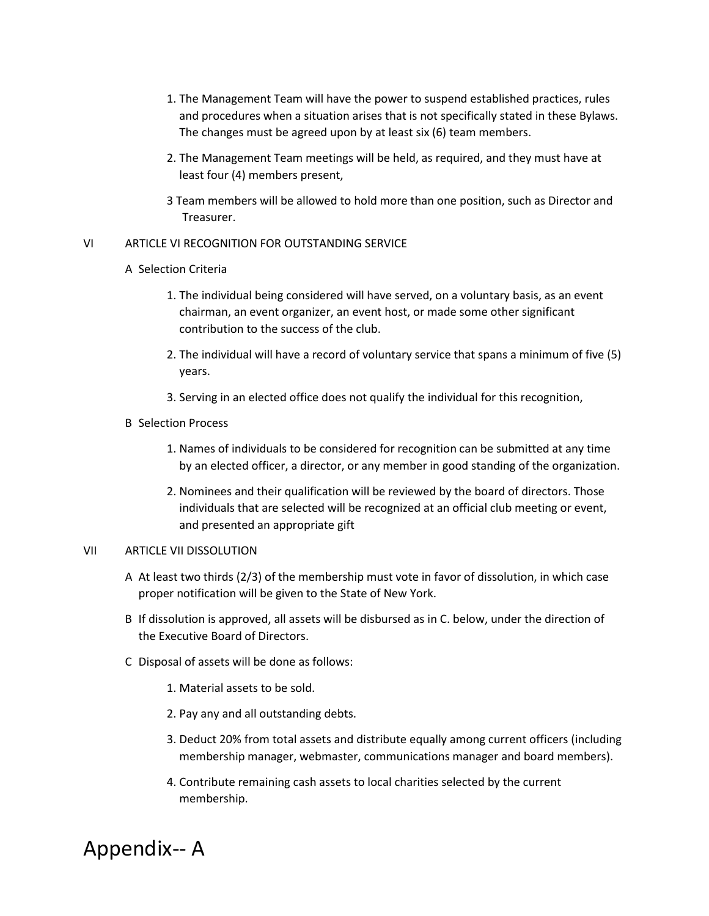- 1. The Management Team will have the power to suspend established practices, rules and procedures when a situation arises that is not specifically stated in these Bylaws. The changes must be agreed upon by at least six (6) team members.
- 2. The Management Team meetings will be held, as required, and they must have at least four (4) members present,
- 3 Team members will be allowed to hold more than one position, such as Director and Treasurer.

### VI ARTICLE VI RECOGNITION FOR OUTSTANDING SERVICE

### A Selection Criteria

- 1. The individual being considered will have served, on a voluntary basis, as an event chairman, an event organizer, an event host, or made some other significant contribution to the success of the club.
- 2. The individual will have a record of voluntary service that spans a minimum of five (5) years.
- 3. Serving in an elected office does not qualify the individual for this recognition,
- B Selection Process
	- 1. Names of individuals to be considered for recognition can be submitted at any time by an elected officer, a director, or any member in good standing of the organization.
	- 2. Nominees and their qualification will be reviewed by the board of directors. Those individuals that are selected will be recognized at an official club meeting or event, and presented an appropriate gift

### VII ARTICLE VII DISSOLUTION

- A At least two thirds (2/3) of the membership must vote in favor of dissolution, in which case proper notification will be given to the State of New York.
- B If dissolution is approved, all assets will be disbursed as in C. below, under the direction of the Executive Board of Directors.
- C Disposal of assets will be done as follows:
	- 1. Material assets to be sold.
	- 2. Pay any and all outstanding debts.
	- 3. Deduct 20% from total assets and distribute equally among current officers (including membership manager, webmaster, communications manager and board members).
	- 4. Contribute remaining cash assets to local charities selected by the current membership.

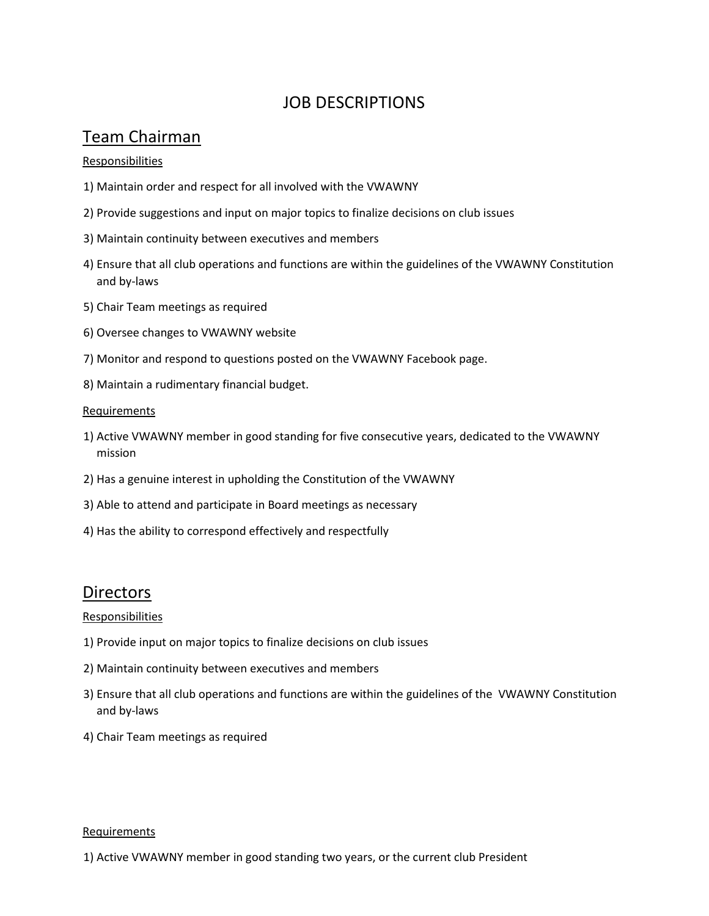# JOB DESCRIPTIONS

# Team Chairman

### Responsibilities

- 1) Maintain order and respect for all involved with the VWAWNY
- 2) Provide suggestions and input on major topics to finalize decisions on club issues
- 3) Maintain continuity between executives and members
- 4) Ensure that all club operations and functions are within the guidelines of the VWAWNY Constitution and by-laws
- 5) Chair Team meetings as required
- 6) Oversee changes to VWAWNY website
- 7) Monitor and respond to questions posted on the VWAWNY Facebook page.
- 8) Maintain a rudimentary financial budget.

### **Requirements**

- 1) Active VWAWNY member in good standing for five consecutive years, dedicated to the VWAWNY mission
- 2) Has a genuine interest in upholding the Constitution of the VWAWNY
- 3) Able to attend and participate in Board meetings as necessary
- 4) Has the ability to correspond effectively and respectfully

### **Directors**

### Responsibilities

- 1) Provide input on major topics to finalize decisions on club issues
- 2) Maintain continuity between executives and members
- 3) Ensure that all club operations and functions are within the guidelines of the VWAWNY Constitution and by-laws
- 4) Chair Team meetings as required

### **Requirements**

1) Active VWAWNY member in good standing two years, or the current club President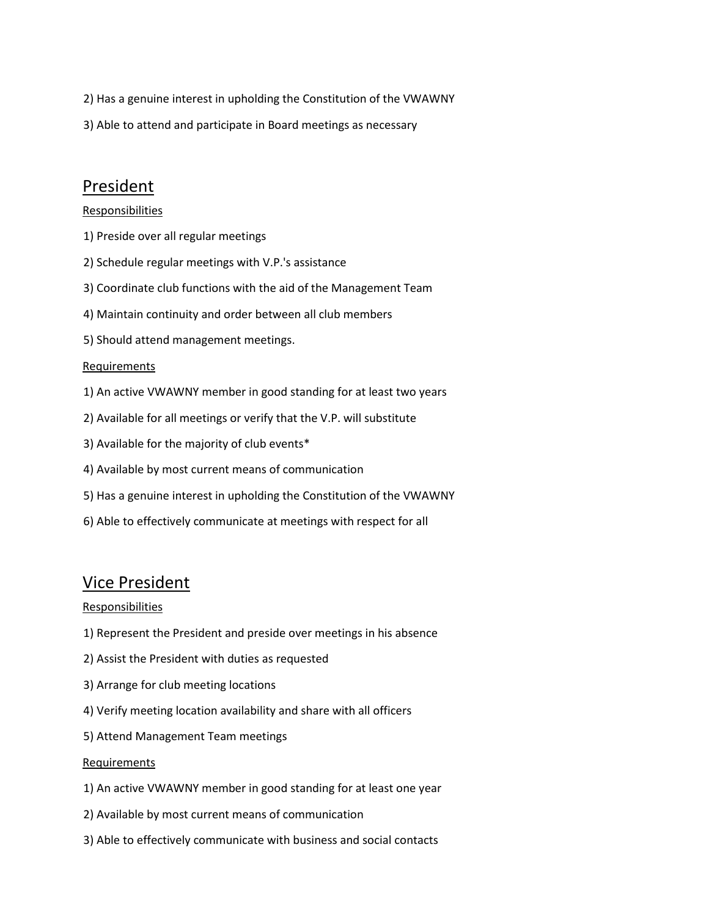- 2) Has a genuine interest in upholding the Constitution of the VWAWNY
- 3) Able to attend and participate in Board meetings as necessary

## President

### Responsibilities

- 1) Preside over all regular meetings
- 2) Schedule regular meetings with V.P.'s assistance
- 3) Coordinate club functions with the aid of the Management Team
- 4) Maintain continuity and order between all club members
- 5) Should attend management meetings.

### Requirements

- 1) An active VWAWNY member in good standing for at least two years
- 2) Available for all meetings or verify that the V.P. will substitute
- 3) Available for the majority of club events\*
- 4) Available by most current means of communication
- 5) Has a genuine interest in upholding the Constitution of the VWAWNY
- 6) Able to effectively communicate at meetings with respect for all

### Vice President

### Responsibilities

- 1) Represent the President and preside over meetings in his absence
- 2) Assist the President with duties as requested
- 3) Arrange for club meeting locations
- 4) Verify meeting location availability and share with all officers
- 5) Attend Management Team meetings

### Requirements

- 1) An active VWAWNY member in good standing for at least one year
- 2) Available by most current means of communication
- 3) Able to effectively communicate with business and social contacts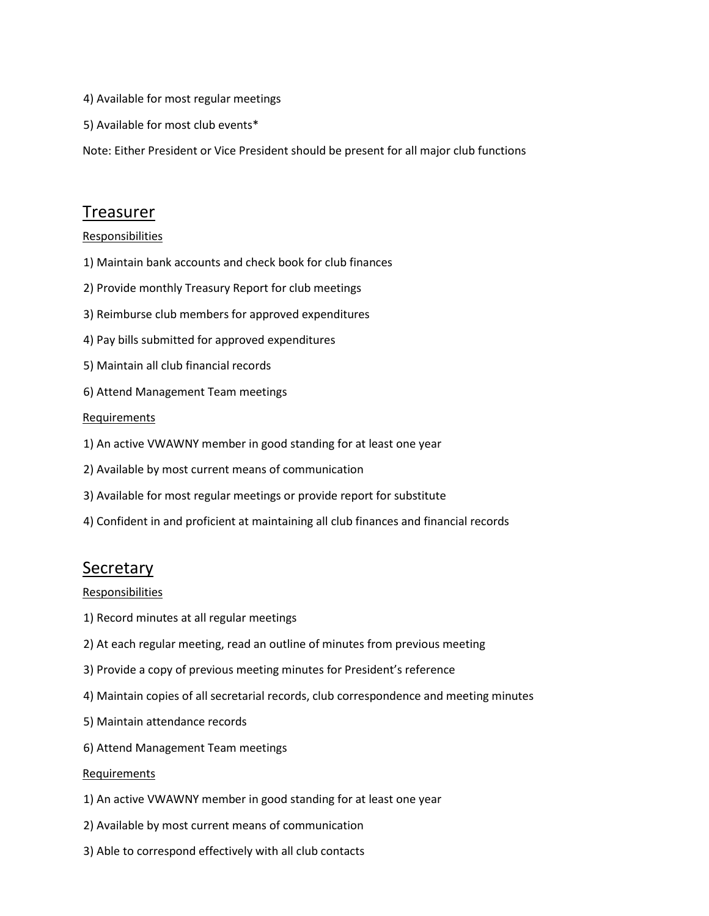- 4) Available for most regular meetings
- 5) Available for most club events\*

Note: Either President or Vice President should be present for all major club functions

### Treasurer

**Responsibilities** 

- 1) Maintain bank accounts and check book for club finances
- 2) Provide monthly Treasury Report for club meetings
- 3) Reimburse club members for approved expenditures
- 4) Pay bills submitted for approved expenditures
- 5) Maintain all club financial records
- 6) Attend Management Team meetings

#### **Requirements**

- 1) An active VWAWNY member in good standing for at least one year
- 2) Available by most current means of communication
- 3) Available for most regular meetings or provide report for substitute
- 4) Confident in and proficient at maintaining all club finances and financial records

### **Secretary**

Responsibilities

- 1) Record minutes at all regular meetings
- 2) At each regular meeting, read an outline of minutes from previous meeting
- 3) Provide a copy of previous meeting minutes for President's reference
- 4) Maintain copies of all secretarial records, club correspondence and meeting minutes
- 5) Maintain attendance records
- 6) Attend Management Team meetings

#### Requirements

- 1) An active VWAWNY member in good standing for at least one year
- 2) Available by most current means of communication
- 3) Able to correspond effectively with all club contacts